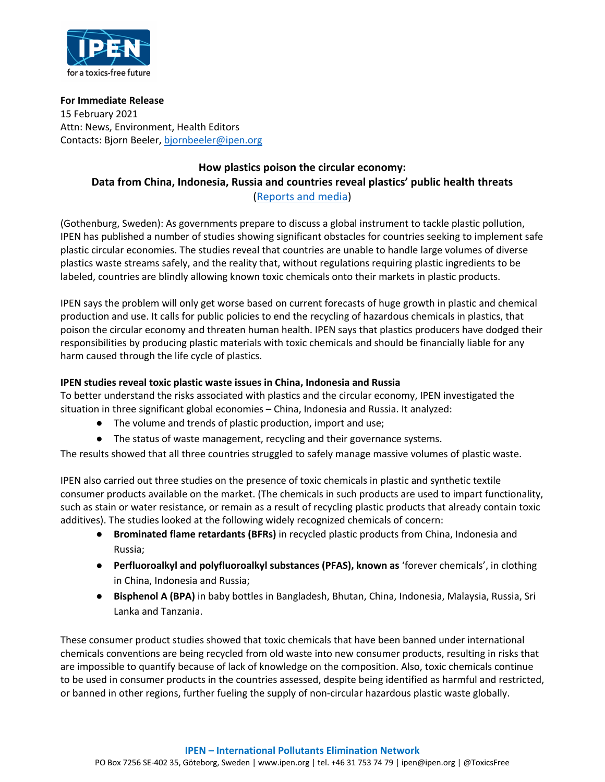

**For Immediate Release** 15 February 2021 Attn: News, Environment, Health Editors Contacts: Bjorn Beeler, bjornbeeler@ipen.org

## **How plastics poison the circular economy: Data from China, Indonesia, Russia and countries reveal plastics' public health threats** ([Reports and media\)](https://ipen.org/news/plastic-poisons-circular-economy)

(Gothenburg, Sweden): As governments prepare to discuss a global instrument to tackle plastic pollution, IPEN has published a number of studies showing significant obstacles for countries seeking to implement safe plastic circular economies. The studies reveal that countries are unable to handle large volumes of diverse plastics waste streams safely, and the reality that, without regulations requiring plastic ingredients to be labeled, countries are blindly allowing known toxic chemicals onto their markets in plastic products.

IPEN says the problem will only get worse based on current forecasts of huge growth in plastic and chemical production and use. It calls for public policies to end the recycling of hazardous chemicals in plastics, that poison the circular economy and threaten human health. IPEN says that plastics producers have dodged their responsibilities by producing plastic materials with toxic chemicals and should be financially liable for any harm caused through the life cycle of plastics.

## **IPEN studies reveal toxic plastic waste issues in China, Indonesia and Russia**

To better understand the risks associated with plastics and the circular economy, IPEN investigated the situation in three significant global economies – China, Indonesia and Russia. It analyzed:

- The volume and trends of plastic production, import and use;
- The status of waste management, recycling and their governance systems.

The results showed that all three countries struggled to safely manage massive volumes of plastic waste.

IPEN also carried out three studies on the presence of toxic chemicals in plastic and synthetic textile consumer products available on the market. (The chemicals in such products are used to impart functionality, such as stain or water resistance, or remain as a result of recycling plastic products that already contain toxic additives). The studies looked at the following widely recognized chemicals of concern:

- **Brominated flame retardants (BFRs)** in recycled plastic products from China, Indonesia and Russia;
- **Perfluoroalkyl and polyfluoroalkyl substances (PFAS), known as** 'forever chemicals', in clothing in China, Indonesia and Russia;
- **Bisphenol A (BPA)** in baby bottles in Bangladesh, Bhutan, China, Indonesia, Malaysia, Russia, Sri Lanka and Tanzania.

These consumer product studies showed that toxic chemicals that have been banned under international chemicals conventions are being recycled from old waste into new consumer products, resulting in risks that are impossible to quantify because of lack of knowledge on the composition. Also, toxic chemicals continue to be used in consumer products in the countries assessed, despite being identified as harmful and restricted, or banned in other regions, further fueling the supply of non-circular hazardous plastic waste globally.